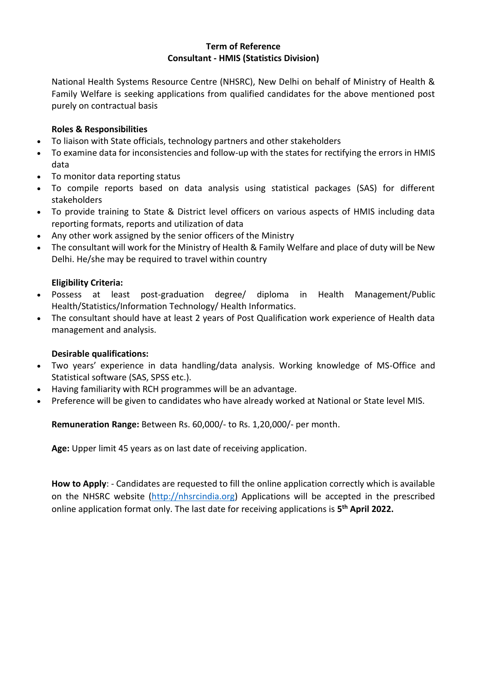#### **Term of Reference Consultant - HMIS (Statistics Division)**

National Health Systems Resource Centre (NHSRC), New Delhi on behalf of Ministry of Health & Family Welfare is seeking applications from qualified candidates for the above mentioned post purely on contractual basis

### **Roles & Responsibilities**

- To liaison with State officials, technology partners and other stakeholders
- To examine data for inconsistencies and follow-up with the states for rectifying the errors in HMIS data
- To monitor data reporting status
- To compile reports based on data analysis using statistical packages (SAS) for different stakeholders
- To provide training to State & District level officers on various aspects of HMIS including data reporting formats, reports and utilization of data
- Any other work assigned by the senior officers of the Ministry
- The consultant will work for the Ministry of Health & Family Welfare and place of duty will be New Delhi. He/she may be required to travel within country

#### **Eligibility Criteria:**

- Possess at least post-graduation degree/ diploma in Health Management/Public Health/Statistics/Information Technology/ Health Informatics.
- The consultant should have at least 2 years of Post Qualification work experience of Health data management and analysis.

### **Desirable qualifications:**

- Two years' experience in data handling/data analysis. Working knowledge of MS-Office and Statistical software (SAS, SPSS etc.).
- Having familiarity with RCH programmes will be an advantage.
- Preference will be given to candidates who have already worked at National or State level MIS.

**Remuneration Range:** Between Rs. 60,000/- to Rs. 1,20,000/- per month.

**Age:** Upper limit 45 years as on last date of receiving application.

**How to Apply**: - Candidates are requested to fill the online application correctly which is available on the NHSRC website [\(http://nhsrcindia.org\)](http://nhsrcindia.org/) Applications will be accepted in the prescribed online application format only. The last date for receiving applications is **5 th April 2022.**